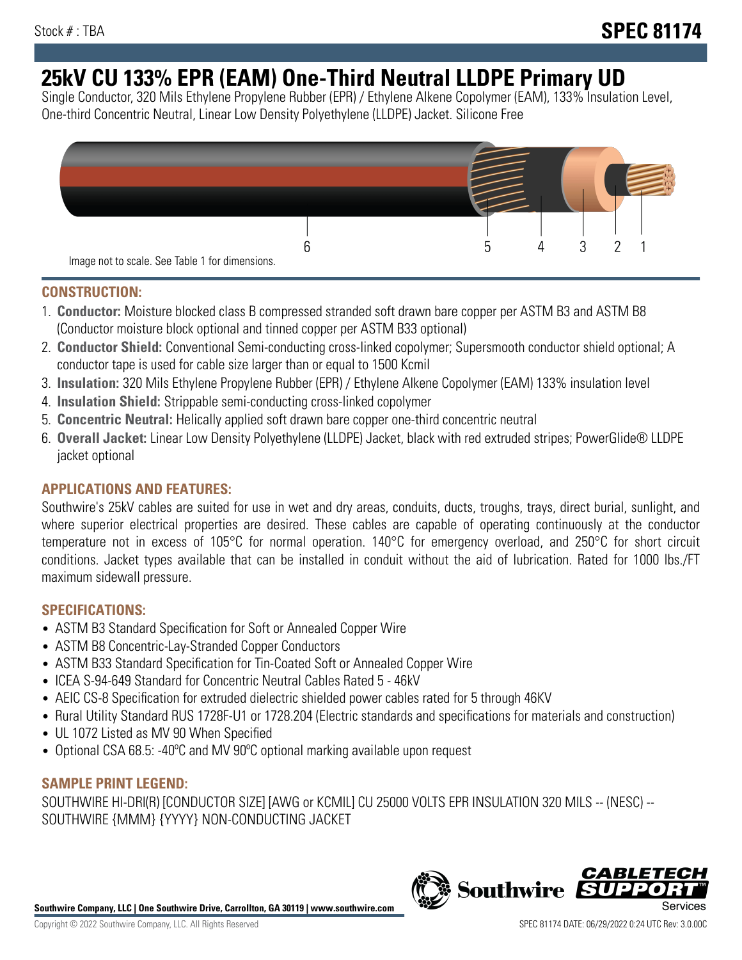# **25kV CU 133% EPR (EAM) One-Third Neutral LLDPE Primary UD**

Single Conductor, 320 Mils Ethylene Propylene Rubber (EPR) / Ethylene Alkene Copolymer (EAM), 133% Insulation Level, One-third Concentric Neutral, Linear Low Density Polyethylene (LLDPE) Jacket. Silicone Free



# **CONSTRUCTION:**

- 1. **Conductor:** Moisture blocked class B compressed stranded soft drawn bare copper per ASTM B3 and ASTM B8 (Conductor moisture block optional and tinned copper per ASTM B33 optional)
- 2. **Conductor Shield:** Conventional Semi-conducting cross-linked copolymer; Supersmooth conductor shield optional; A conductor tape is used for cable size larger than or equal to 1500 Kcmil
- 3. **Insulation:** 320 Mils Ethylene Propylene Rubber (EPR) / Ethylene Alkene Copolymer (EAM) 133% insulation level
- 4. **Insulation Shield:** Strippable semi-conducting cross-linked copolymer
- 5. **Concentric Neutral:** Helically applied soft drawn bare copper one-third concentric neutral
- 6. **Overall Jacket:** Linear Low Density Polyethylene (LLDPE) Jacket, black with red extruded stripes; PowerGlide® LLDPE jacket optional

# **APPLICATIONS AND FEATURES:**

Southwire's 25kV cables are suited for use in wet and dry areas, conduits, ducts, troughs, trays, direct burial, sunlight, and where superior electrical properties are desired. These cables are capable of operating continuously at the conductor temperature not in excess of 105°C for normal operation. 140°C for emergency overload, and 250°C for short circuit conditions. Jacket types available that can be installed in conduit without the aid of lubrication. Rated for 1000 lbs./FT maximum sidewall pressure.

## **SPECIFICATIONS:**

- ASTM B3 Standard Specification for Soft or Annealed Copper Wire
- ASTM B8 Concentric-Lay-Stranded Copper Conductors
- ASTM B33 Standard Specification for Tin-Coated Soft or Annealed Copper Wire
- ICEA S-94-649 Standard for Concentric Neutral Cables Rated 5 46kV
- AEIC CS-8 Specification for extruded dielectric shielded power cables rated for 5 through 46KV
- Rural Utility Standard RUS 1728F-U1 or 1728.204 (Electric standards and specifications for materials and construction)
- UL 1072 Listed as MV 90 When Specified
- Optional CSA 68.5: -40°C and MV 90°C optional marking available upon request

# **SAMPLE PRINT LEGEND:**

SOUTHWIRE HI-DRI(R) [CONDUCTOR SIZE] [AWG or KCMIL] CU 25000 VOLTS EPR INSULATION 320 MILS -- (NESC) -- SOUTHWIRE {MMM} {YYYY} NON-CONDUCTING JACKET

**Southwire Company, LLC | One Southwire Drive, Carrollton, GA 30119 | www.southwire.com**